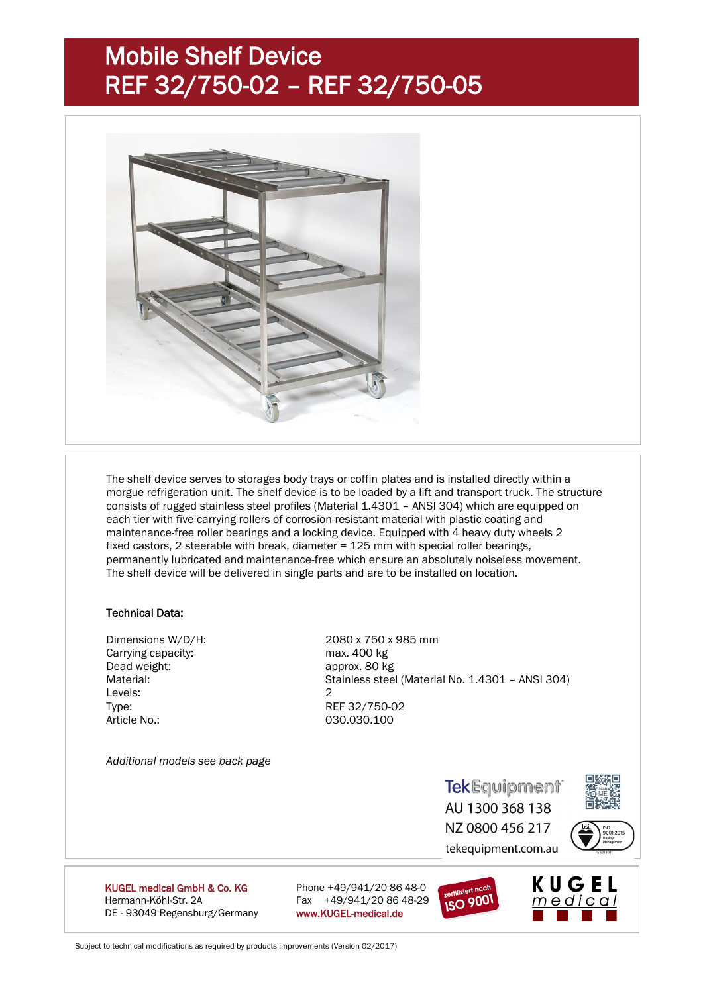## Mobile Shelf Device REF 32/750-02 – REF 32/750-05



The shelf device serves to storages body trays or coffin plates and is installed directly within a morgue refrigeration unit. The shelf device is to be loaded by a lift and transport truck. The structure consists of rugged stainless steel profiles (Material 1.4301 – ANSI 304) which are equipped on each tier with five carrying rollers of corrosion-resistant material with plastic coating and maintenance-free roller bearings and a locking device. Equipped with 4 heavy duty wheels 2 fixed castors, 2 steerable with break, diameter = 125 mm with special roller bearings, permanently lubricated and maintenance-free which ensure an absolutely noiseless movement. The shelf device will be delivered in single parts and are to be installed on location.

#### Technical Data:

Carrying capacity:<br>
Dead weight: example approx. 80 kg<br>
approx. 80 kg  $L = 2$ Type: REF 32/750-02 Article No.: 030.030.100

*Additional models see back page*

Dimensions W/D/H: 2080 x 750 x 985 mm approx. 80 kg Material: Material: Stainless steel (Material No. 1.4301 – ANSI 304)

> **TekEquipment** AU 1300 368 138 NZ 0800 456 217 tekequipment.com.au





**KUGEL medical GmbH & Co. KG** Phone  $+49/941/20.8648-0$ Hermann-Köhl-Str. 2A Fax +49/941/20 86 48-29 DE - 93049 Regensburg/Germany www.KUGEL-medical.de



Subject to technical modifications as required by products improvements (Version 02/2017)